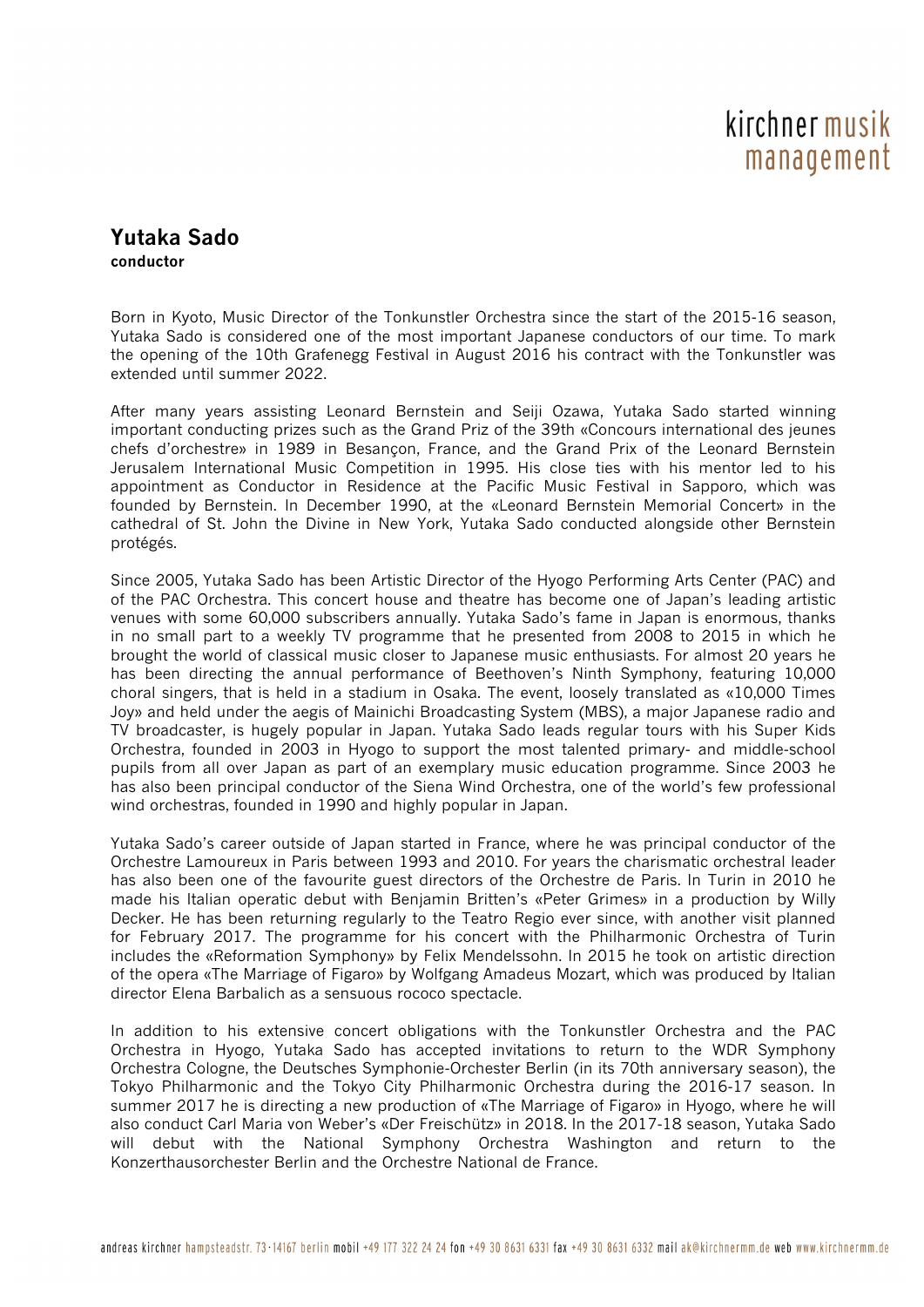## kirchner musik management

## **Yutaka Sado conductor**

Born in Kyoto, Music Director of the Tonkunstler Orchestra since the start of the 2015-16 season, Yutaka Sado is considered one of the most important Japanese conductors of our time. To mark the opening of the 10th Grafenegg Festival in August 2016 his contract with the Tonkunstler was extended until summer 2022.

After many years assisting Leonard Bernstein and Seiji Ozawa, Yutaka Sado started winning important conducting prizes such as the Grand Priz of the 39th «Concours international des jeunes chefs d'orchestre» in 1989 in Besançon, France, and the Grand Prix of the Leonard Bernstein Jerusalem International Music Competition in 1995. His close ties with his mentor led to his appointment as Conductor in Residence at the Pacific Music Festival in Sapporo, which was founded by Bernstein. In December 1990, at the «Leonard Bernstein Memorial Concert» in the cathedral of St. John the Divine in New York, Yutaka Sado conducted alongside other Bernstein protégés.

Since 2005, Yutaka Sado has been Artistic Director of the Hyogo Performing Arts Center (PAC) and of the PAC Orchestra. This concert house and theatre has become one of Japan's leading artistic venues with some 60,000 subscribers annually. Yutaka Sado's fame in Japan is enormous, thanks in no small part to a weekly TV programme that he presented from 2008 to 2015 in which he brought the world of classical music closer to Japanese music enthusiasts. For almost 20 years he has been directing the annual performance of Beethoven's Ninth Symphony, featuring 10,000 choral singers, that is held in a stadium in Osaka. The event, loosely translated as «10,000 Times Joy» and held under the aegis of Mainichi Broadcasting System (MBS), a major Japanese radio and TV broadcaster, is hugely popular in Japan. Yutaka Sado leads regular tours with his Super Kids Orchestra, founded in 2003 in Hyogo to support the most talented primary- and middle-school pupils from all over Japan as part of an exemplary music education programme. Since 2003 he has also been principal conductor of the Siena Wind Orchestra, one of the world's few professional wind orchestras, founded in 1990 and highly popular in Japan.

Yutaka Sado's career outside of Japan started in France, where he was principal conductor of the Orchestre Lamoureux in Paris between 1993 and 2010. For years the charismatic orchestral leader has also been one of the favourite guest directors of the Orchestre de Paris. In Turin in 2010 he made his Italian operatic debut with Benjamin Britten's «Peter Grimes» in a production by Willy Decker. He has been returning regularly to the Teatro Regio ever since, with another visit planned for February 2017. The programme for his concert with the Philharmonic Orchestra of Turin includes the «Reformation Symphony» by Felix Mendelssohn. In 2015 he took on artistic direction of the opera «The Marriage of Figaro» by Wolfgang Amadeus Mozart, which was produced by Italian director Elena Barbalich as a sensuous rococo spectacle.

In addition to his extensive concert obligations with the Tonkunstler Orchestra and the PAC Orchestra in Hyogo, Yutaka Sado has accepted invitations to return to the WDR Symphony Orchestra Cologne, the Deutsches Symphonie-Orchester Berlin (in its 70th anniversary season), the Tokyo Philharmonic and the Tokyo City Philharmonic Orchestra during the 2016-17 season. In summer 2017 he is directing a new production of «The Marriage of Figaro» in Hyogo, where he will also conduct Carl Maria von Weber's «Der Freischütz» in 2018. In the 2017-18 season, Yutaka Sado will debut with the National Symphony Orchestra Washington and return to the Konzerthausorchester Berlin and the Orchestre National de France.